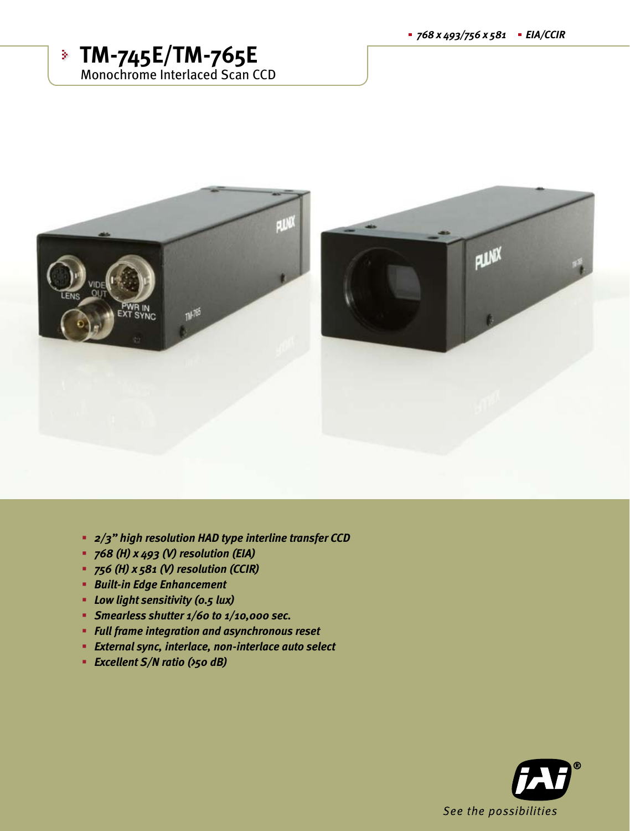



- *2/3" high resolution HAD type interline transfer CCD*
- *768 (H) x 493 (V) resolution (EIA)*
- *756 (H) x 581 (V) resolution (CCIR)*
- *Built-in Edge Enhancement*
- *Low light sensitivity (0.5 lux)*
- *Smearless shutter 1/60 to 1/10,000 sec.*
- *Full frame integration and asynchronous reset*
- *External sync, interlace, non-interlace auto select*
- *Excellent S/N ratio (>50 dB)*